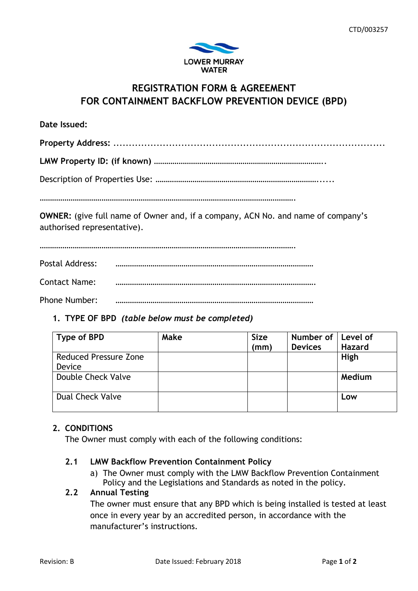

# **REGISTRATION FORM & AGREEMENT FOR CONTAINMENT BACKFLOW PREVENTION DEVICE (BPD)**

**Date Issued: Property Address:** ........................................................................................ **LMW Property ID: (if known)** ………………………………………………………………………..

|--|--|

…………………………………………………………………………………………………………….

**OWNER:** (give full name of Owner and, if a company, ACN No. and name of company's authorised representative).

…………………………………………………………………………………………………………….

Postal Address: ……………………………………………………………………………………

Contact Name: …………………………………………………………………………………….

Phone Number: ……………………………………………………………………………………

## **1. TYPE OF BPD** *(table below must be completed)*

| Type of BPD                  | Make | <b>Size</b><br>(mm) | Number of<br><b>Devices</b> | Level of<br><b>Hazard</b> |
|------------------------------|------|---------------------|-----------------------------|---------------------------|
| <b>Reduced Pressure Zone</b> |      |                     |                             | High                      |
| Device                       |      |                     |                             |                           |
| Double Check Valve           |      |                     |                             | Medium                    |
| <b>Dual Check Valve</b>      |      |                     |                             | Low                       |

## **2. CONDITIONS**

The Owner must comply with each of the following conditions:

## **2.1 LMW Backflow Prevention Containment Policy**

a) The Owner must comply with the LMW Backflow Prevention Containment Policy and the Legislations and Standards as noted in the policy.

## **2.2 Annual Testing**

The owner must ensure that any BPD which is being installed is tested at least once in every year by an accredited person, in accordance with the manufacturer's instructions.